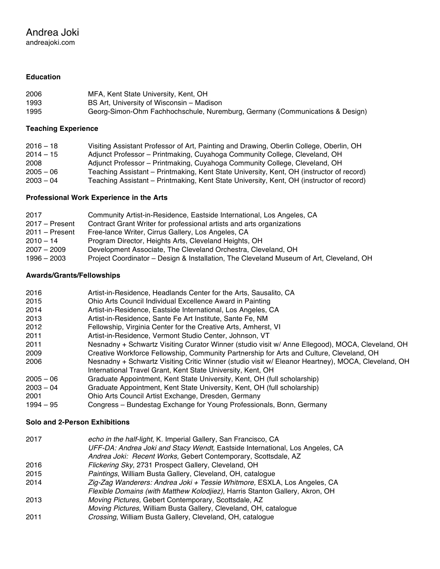# Andrea Joki

andreajoki.com

# **Education**

| 2006 | MFA, Kent State University, Kent, OH                                         |
|------|------------------------------------------------------------------------------|
| 1993 | BS Art, University of Wisconsin – Madison                                    |
| 1995 | Georg-Simon-Ohm Fachhochschule, Nuremburg, Germany (Communications & Design) |

# **Teaching Experience**

| $2016 - 18$ | Visiting Assistant Professor of Art, Painting and Drawing, Oberlin College, Oberlin, OH  |
|-------------|------------------------------------------------------------------------------------------|
| $2014 - 15$ | Adjunct Professor – Printmaking, Cuyahoga Community College, Cleveland, OH               |
| 2008        | Adjunct Professor – Printmaking, Cuyahoga Community College, Cleveland, OH               |
| $2005 - 06$ | Teaching Assistant – Printmaking, Kent State University, Kent, OH (instructor of record) |
| $2003 - 04$ | Teaching Assistant - Printmaking, Kent State University, Kent, OH (instructor of record) |

# **Professional Work Experience in the Arts**

| 2017             | Community Artist-in-Residence, Eastside International, Los Angeles, CA                  |
|------------------|-----------------------------------------------------------------------------------------|
| $2017 -$ Present | Contract Grant Writer for professional artists and arts organizations                   |
| $2011 -$ Present | Free-lance Writer, Cirrus Gallery, Los Angeles, CA                                      |
| $2010 - 14$      | Program Director, Heights Arts, Cleveland Heights, OH                                   |
| $2007 - 2009$    | Development Associate, The Cleveland Orchestra, Cleveland, OH                           |
| 1996 - 2003      | Project Coordinator – Design & Installation, The Cleveland Museum of Art, Cleveland, OH |

# **Awards/Grants/Fellowships**

| 2016        | Artist-in-Residence, Headlands Center for the Arts, Sausalito, CA                                                                                                 |
|-------------|-------------------------------------------------------------------------------------------------------------------------------------------------------------------|
| 2015        | Ohio Arts Council Individual Excellence Award in Painting                                                                                                         |
| 2014        | Artist-in-Residence, Eastside International, Los Angeles, CA                                                                                                      |
| 2013        | Artist-in-Residence, Sante Fe Art Institute, Sante Fe, NM                                                                                                         |
| 2012        | Fellowship, Virginia Center for the Creative Arts, Amherst, VI                                                                                                    |
| 2011        | Artist-in-Residence, Vermont Studio Center, Johnson, VT                                                                                                           |
| 2011        | Nesnadny + Schwartz Visiting Curator Winner (studio visit w/ Anne Ellegood), MOCA, Cleveland, OH                                                                  |
| 2009        | Creative Workforce Fellowship, Community Partnership for Arts and Culture, Cleveland, OH                                                                          |
| 2006        | Nesnadny + Schwartz Visiting Critic Winner (studio visit w/ Eleanor Heartney), MOCA, Cleveland, OH<br>International Travel Grant, Kent State University, Kent, OH |
| $2005 - 06$ | Graduate Appointment, Kent State University, Kent, OH (full scholarship)                                                                                          |
| $2003 - 04$ | Graduate Appointment, Kent State University, Kent, OH (full scholarship)                                                                                          |
| 2001        | Ohio Arts Council Artist Exchange, Dresden, Germany                                                                                                               |
| $1994 - 95$ | Congress – Bundestag Exchange for Young Professionals, Bonn, Germany                                                                                              |
|             |                                                                                                                                                                   |

# **Solo and 2-Person Exhibitions**

| 2017 | echo in the half-light, K. Imperial Gallery, San Francisco, CA<br>UFF-DA: Andrea Joki and Stacy Wendt, Eastside International, Los Angeles, CA<br>Andrea Joki: Recent Works, Gebert Contemporary, Scottsdale, AZ |
|------|------------------------------------------------------------------------------------------------------------------------------------------------------------------------------------------------------------------|
| 2016 | Flickering Sky, 2731 Prospect Gallery, Cleveland, OH                                                                                                                                                             |
| 2015 | Paintings, William Busta Gallery, Cleveland, OH, catalogue                                                                                                                                                       |
| 2014 | Zig-Zag Wanderers: Andrea Joki + Tessie Whitmore, ESXLA, Los Angeles, CA                                                                                                                                         |
|      | Flexible Domains (with Matthew Kolodjiez), Harris Stanton Gallery, Akron, OH                                                                                                                                     |
| 2013 | Moving Pictures, Gebert Contemporary, Scottsdale, AZ                                                                                                                                                             |
|      | Moving Pictures, William Busta Gallery, Cleveland, OH, catalogue                                                                                                                                                 |
| 2011 | Crossing, William Busta Gallery, Cleveland, OH, catalogue                                                                                                                                                        |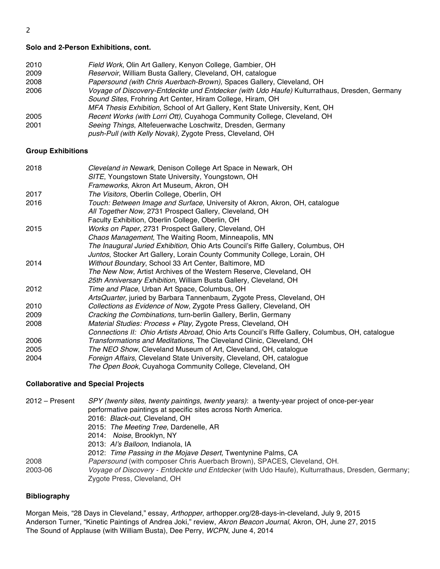# **Solo and 2-Person Exhibitions, cont.**

| 2010 | Field Work, Olin Art Gallery, Kenyon College, Gambier, OH                                    |
|------|----------------------------------------------------------------------------------------------|
| 2009 | Reservoir, William Busta Gallery, Cleveland, OH, catalogue                                   |
| 2008 | Papersound (with Chris Auerbach-Brown), Spaces Gallery, Cleveland, OH                        |
| 2006 | Voyage of Discovery-Entdeckte und Entdecker (with Udo Haufe) Kulturrathaus, Dresden, Germany |
|      | Sound Sites, Frohring Art Center, Hiram College, Hiram, OH                                   |
|      | MFA Thesis Exhibition, School of Art Gallery, Kent State University, Kent, OH                |
| 2005 | Recent Works (with Lorri Ott), Cuyahoga Community College, Cleveland, OH                     |
| 2001 | Seeing Things, Altefeuerwache Loschwitz, Dresden, Germany                                    |
|      | push-Pull (with Kelly Novak), Zygote Press, Cleveland, OH                                    |
|      |                                                                                              |

# **Group Exhibitions**

| 2018 | Cleveland in Newark, Denison College Art Space in Newark, OH                                    |
|------|-------------------------------------------------------------------------------------------------|
|      | SITE, Youngstown State University, Youngstown, OH                                               |
|      | Frameworks, Akron Art Museum, Akron, OH                                                         |
| 2017 | The Visitors, Oberlin College, Oberlin, OH                                                      |
| 2016 | Touch: Between Image and Surface, University of Akron, Akron, OH, catalogue                     |
|      | All Together Now, 2731 Prospect Gallery, Cleveland, OH                                          |
|      | Faculty Exhibition, Oberlin College, Oberlin, OH                                                |
| 2015 | Works on Paper, 2731 Prospect Gallery, Cleveland, OH                                            |
|      | Chaos Management, The Waiting Room, Minneapolis, MN                                             |
|      | The Inaugural Juried Exhibition, Ohio Arts Council's Riffe Gallery, Columbus, OH                |
|      | Juntos, Stocker Art Gallery, Lorain County Community College, Lorain, OH                        |
| 2014 | Without Boundary, School 33 Art Center, Baltimore, MD                                           |
|      | The New Now, Artist Archives of the Western Reserve, Cleveland, OH                              |
|      | 25th Anniversary Exhibition, William Busta Gallery, Cleveland, OH                               |
| 2012 | Time and Place, Urban Art Space, Columbus, OH                                                   |
|      | ArtsQuarter, juried by Barbara Tannenbaum, Zygote Press, Cleveland, OH                          |
| 2010 | Collections as Evidence of Now, Zygote Press Gallery, Cleveland, OH                             |
| 2009 | Cracking the Combinations, turn-berlin Gallery, Berlin, Germany                                 |
| 2008 | Material Studies: Process + Play, Zygote Press, Cleveland, OH                                   |
|      | Connections II: Ohio Artists Abroad, Ohio Arts Council's Riffe Gallery, Columbus, OH, catalogue |
| 2006 | Transformations and Meditations, The Cleveland Clinic, Cleveland, OH                            |
| 2005 | The NEO Show, Cleveland Museum of Art, Cleveland, OH, catalogue                                 |
| 2004 | Foreign Affairs, Cleveland State University, Cleveland, OH, catalogue                           |
|      | The Open Book, Cuyahoga Community College, Cleveland, OH                                        |

# **Collaborative and Special Projects**

2012 – Present *SPY (twenty sites, twenty paintings, twenty years)*: a twenty-year project of once-per-year performative paintings at specific sites across North America. 2016: *Black-out*, Cleveland, OH 2015: *The Meeting Tree*, Dardenelle, AR 2014: *Noise*, Brooklyn, NY 2013: *Al's Balloon*, Indianola, IA 2012: *Time Passing in the Mojave Desert*, Twentynine Palms, CA 2008 *Papersound* (with composer Chris Auerbach Brown), SPACES, Cleveland, OH. 2003-06 *Voyage of Discovery - Entdeckte und Entdecker* (with Udo Haufe), Kulturrathaus, Dresden, Germany; Zygote Press, Cleveland, OH

# **Bibliography**

Morgan Meis, "28 Days in Cleveland," essay, *Arthopper*, arthopper.org/28-days-in-cleveland, July 9, 2015 Anderson Turner, "Kinetic Paintings of Andrea Joki," review, *Akron Beacon Journal*, Akron, OH, June 27, 2015 The Sound of Applause (with William Busta), Dee Perry, *WCPN*, June 4, 2014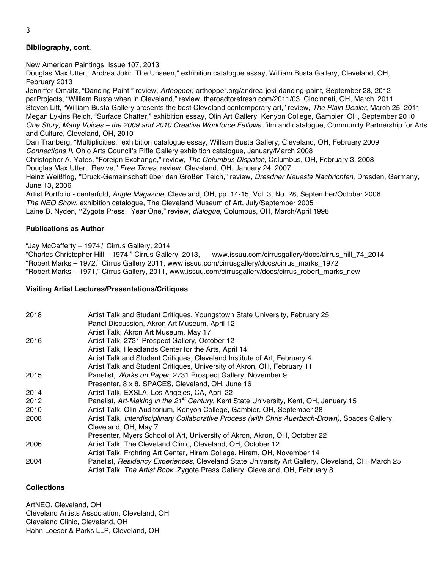# 3

# **Bibliography, cont.**

New American Paintings, Issue 107, 2013

Douglas Max Utter, "Andrea Joki: The Unseen," exhibition catalogue essay, William Busta Gallery, Cleveland, OH, February 2013

Jenniffer Omaitz, "Dancing Paint," review, *Arthopper*, arthopper.org/andrea-joki-dancing-paint, September 28, 2012 parProjects, "William Busta when in Cleveland," review, theroadtorefresh.com/2011/03, Cincinnati, OH, March 2011 Steven Litt, "William Busta Gallery presents the best Cleveland contemporary art," review, *The Plain Dealer*, March 25, 2011 Megan Lykins Reich, "Surface Chatter," exhibition essay, Olin Art Gallery, Kenyon College, Gambier, OH, September 2010 *One Story, Many Voices – the 2009 and 2010 Creative Workforce Fellows*, film and catalogue, Community Partnership for Arts and Culture, Cleveland, OH, 2010

Dan Tranberg, "Multiplicities," exhibition catalogue essay, William Busta Gallery, Cleveland, OH, February 2009 *Connections II*, Ohio Arts Council's Riffe Gallery exhibition catalogue, January/March 2008

Christopher A. Yates, "Foreign Exchange," review, *The Columbus Dispatch*, Columbus, OH, February 3, 2008 Douglas Max Utter, "Revive," *Free Times*, review, Cleveland, OH, January 24, 2007

Heinz Weißflog, **"**Druck-Gemeinschaft über den Großen Teich," review, *Dresdner Neueste Nachrichten*, Dresden, Germany, June 13, 2006

Artist Portfolio - centerfold, *Angle Magazine*, Cleveland, OH, pp. 14-15, Vol. 3, No. 28, September/October 2006 *The NEO Show*, exhibition catalogue, The Cleveland Museum of Art, July/September 2005 Laine B. Nyden, **"**Zygote Press: Year One," review, *dialogue*, Columbus, OH, March/April 1998

# **Publications as Author**

"Jay McCafferty – 1974," Cirrus Gallery, 2014

"Charles Christopher Hill – 1974," Cirrus Gallery, 2013, www.issuu.com/cirrusgallery/docs/cirrus\_hill\_74\_2014 "Robert Marks – 1972," Cirrus Gallery 2011, www.issuu.com/cirrusgallery/docs/cirrus\_marks\_1972 "Robert Marks – 1971," Cirrus Gallery, 2011, www.issuu.com/cirrusgallery/docs/cirrus\_robert\_marks\_new

# **Visiting Artist Lectures/Presentations/Critiques**

| 2018 | Artist Talk and Student Critiques, Youngstown State University, February 25                       |
|------|---------------------------------------------------------------------------------------------------|
|      | Panel Discussion, Akron Art Museum, April 12                                                      |
|      | Artist Talk, Akron Art Museum, May 17                                                             |
| 2016 | Artist Talk, 2731 Prospect Gallery, October 12                                                    |
|      | Artist Talk, Headlands Center for the Arts, April 14                                              |
|      | Artist Talk and Student Critiques, Cleveland Institute of Art, February 4                         |
|      | Artist Talk and Student Critiques, University of Akron, OH, February 11                           |
| 2015 | Panelist, Works on Paper, 2731 Prospect Gallery, November 9                                       |
|      | Presenter, 8 x 8, SPACES, Cleveland, OH, June 16                                                  |
| 2014 | Artist Talk, EXSLA, Los Angeles, CA, April 22                                                     |
| 2012 | Panelist, Art-Making in the 21 <sup>st</sup> Century, Kent State University, Kent, OH, January 15 |
| 2010 | Artist Talk, Olin Auditorium, Kenyon College, Gambier, OH, September 28                           |
| 2008 | Artist Talk, Interdisciplinary Collaborative Process (with Chris Auerbach-Brown), Spaces Gallery, |
|      | Cleveland, OH, May 7                                                                              |
|      | Presenter, Myers School of Art, University of Akron, Akron, OH, October 22                        |
| 2006 | Artist Talk, The Cleveland Clinic, Cleveland, OH, October 12                                      |
|      | Artist Talk, Frohring Art Center, Hiram College, Hiram, OH, November 14                           |
| 2004 | Panelist, Residency Experiences, Cleveland State University Art Gallery, Cleveland, OH, March 25  |
|      | Artist Talk, The Artist Book, Zygote Press Gallery, Cleveland, OH, February 8                     |

# **Collections**

ArtNEO, Cleveland, OH Cleveland Artists Association, Cleveland, OH Cleveland Clinic, Cleveland, OH Hahn Loeser & Parks LLP, Cleveland, OH